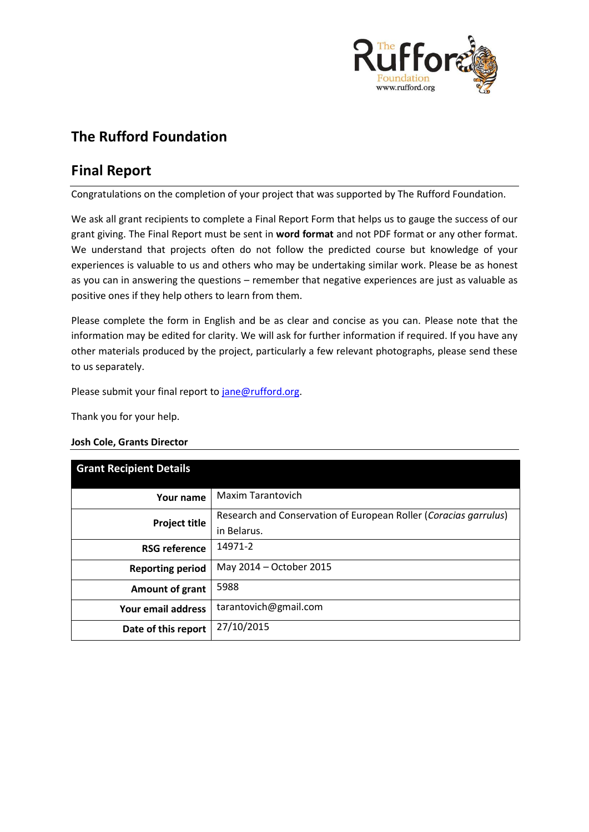

# **The Rufford Foundation**

## **Final Report**

Congratulations on the completion of your project that was supported by The Rufford Foundation.

We ask all grant recipients to complete a Final Report Form that helps us to gauge the success of our grant giving. The Final Report must be sent in **word format** and not PDF format or any other format. We understand that projects often do not follow the predicted course but knowledge of your experiences is valuable to us and others who may be undertaking similar work. Please be as honest as you can in answering the questions – remember that negative experiences are just as valuable as positive ones if they help others to learn from them.

Please complete the form in English and be as clear and concise as you can. Please note that the information may be edited for clarity. We will ask for further information if required. If you have any other materials produced by the project, particularly a few relevant photographs, please send these to us separately.

Please submit your final report to [jane@rufford.org.](mailto:jane@rufford.org)

Thank you for your help.

#### **Josh Cole, Grants Director**

| <b>Grant Recipient Details</b> |                                                                  |
|--------------------------------|------------------------------------------------------------------|
| Your name                      | <b>Maxim Tarantovich</b>                                         |
| <b>Project title</b>           | Research and Conservation of European Roller (Coracias garrulus) |
|                                | in Belarus.                                                      |
| <b>RSG reference</b>           | 14971-2                                                          |
| <b>Reporting period</b>        | May 2014 - October 2015                                          |
| Amount of grant                | 5988                                                             |
| Your email address             | tarantovich@gmail.com                                            |
| Date of this report            | 27/10/2015                                                       |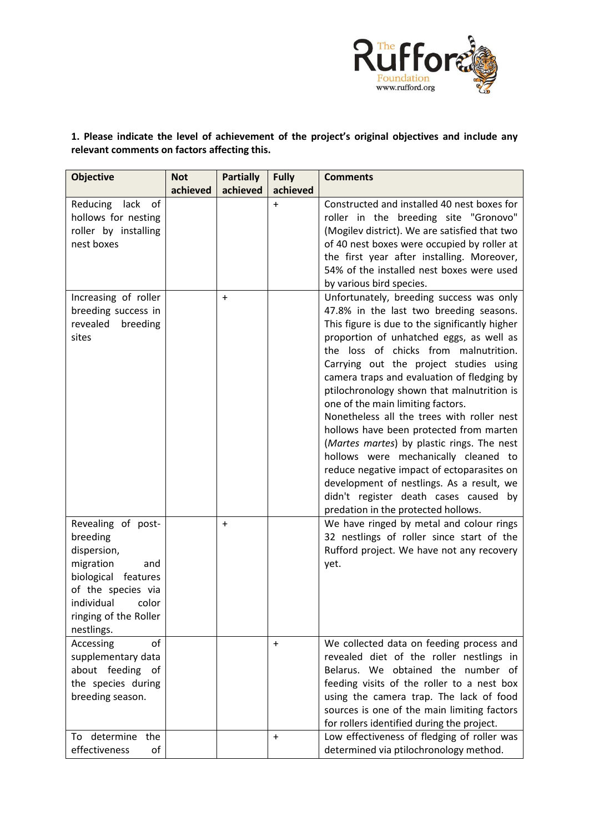

### **1. Please indicate the level of achievement of the project's original objectives and include any relevant comments on factors affecting this.**

| <b>Objective</b>                                                                                                                                                             | <b>Not</b><br>achieved | <b>Partially</b><br>achieved | <b>Fully</b><br>achieved | <b>Comments</b>                                                                                                                                                                                                                                                                                                                                                                                                                                                                                                                                                                                                                                                                                                     |
|------------------------------------------------------------------------------------------------------------------------------------------------------------------------------|------------------------|------------------------------|--------------------------|---------------------------------------------------------------------------------------------------------------------------------------------------------------------------------------------------------------------------------------------------------------------------------------------------------------------------------------------------------------------------------------------------------------------------------------------------------------------------------------------------------------------------------------------------------------------------------------------------------------------------------------------------------------------------------------------------------------------|
| Reducing<br>lack<br>of<br>hollows for nesting<br>roller by installing<br>nest boxes<br>Increasing of roller                                                                  |                        | $\ddot{}$                    | $\ddot{}$                | Constructed and installed 40 nest boxes for<br>roller in the breeding site "Gronovo"<br>(Mogilev district). We are satisfied that two<br>of 40 nest boxes were occupied by roller at<br>the first year after installing. Moreover,<br>54% of the installed nest boxes were used<br>by various bird species.<br>Unfortunately, breeding success was only                                                                                                                                                                                                                                                                                                                                                             |
| breeding success in<br>breeding<br>revealed<br>sites                                                                                                                         |                        |                              |                          | 47.8% in the last two breeding seasons.<br>This figure is due to the significantly higher<br>proportion of unhatched eggs, as well as<br>the loss of chicks from malnutrition.<br>Carrying out the project studies using<br>camera traps and evaluation of fledging by<br>ptilochronology shown that malnutrition is<br>one of the main limiting factors.<br>Nonetheless all the trees with roller nest<br>hollows have been protected from marten<br>(Martes martes) by plastic rings. The nest<br>hollows were mechanically cleaned to<br>reduce negative impact of ectoparasites on<br>development of nestlings. As a result, we<br>didn't register death cases caused by<br>predation in the protected hollows. |
| Revealing of post-<br>breeding<br>dispersion,<br>migration<br>and<br>biological features<br>of the species via<br>individual<br>color<br>ringing of the Roller<br>nestlings. |                        | $\ddot{}$                    |                          | We have ringed by metal and colour rings<br>32 nestlings of roller since start of the<br>Rufford project. We have not any recovery<br>yet.                                                                                                                                                                                                                                                                                                                                                                                                                                                                                                                                                                          |
| Accessing<br>of<br>supplementary data<br>about feeding of<br>the species during<br>breeding season.                                                                          |                        |                              | $\pmb{+}$                | We collected data on feeding process and<br>revealed diet of the roller nestlings in<br>Belarus. We obtained the number of<br>feeding visits of the roller to a nest box<br>using the camera trap. The lack of food<br>sources is one of the main limiting factors<br>for rollers identified during the project.                                                                                                                                                                                                                                                                                                                                                                                                    |
| To determine the<br>effectiveness<br>of                                                                                                                                      |                        |                              | $\ddot{}$                | Low effectiveness of fledging of roller was<br>determined via ptilochronology method.                                                                                                                                                                                                                                                                                                                                                                                                                                                                                                                                                                                                                               |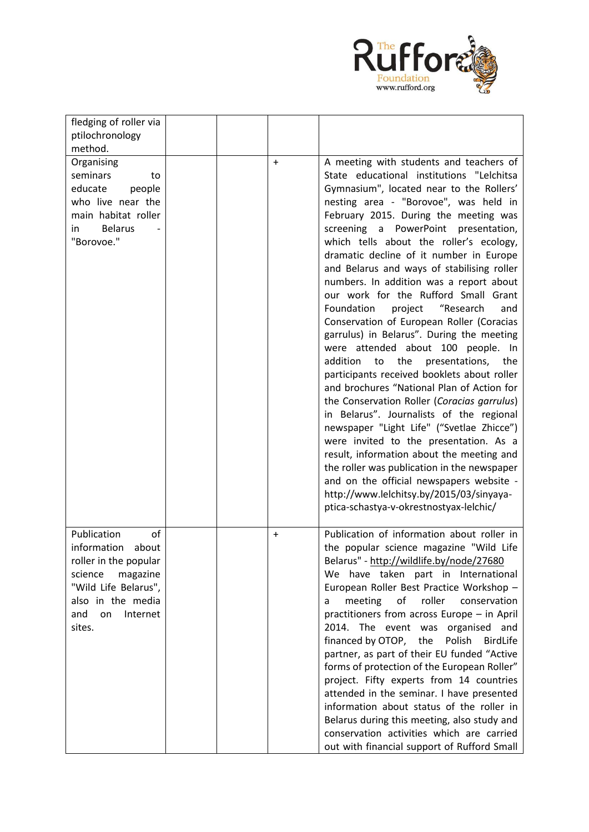

| fledging of roller via                                                                                                                                                    |           |                                                                                                                                                                                                                                                                                                                                                                                                                                                                                                                                                                                                                                                                                                                                                                                                            |
|---------------------------------------------------------------------------------------------------------------------------------------------------------------------------|-----------|------------------------------------------------------------------------------------------------------------------------------------------------------------------------------------------------------------------------------------------------------------------------------------------------------------------------------------------------------------------------------------------------------------------------------------------------------------------------------------------------------------------------------------------------------------------------------------------------------------------------------------------------------------------------------------------------------------------------------------------------------------------------------------------------------------|
| ptilochronology                                                                                                                                                           |           |                                                                                                                                                                                                                                                                                                                                                                                                                                                                                                                                                                                                                                                                                                                                                                                                            |
|                                                                                                                                                                           |           |                                                                                                                                                                                                                                                                                                                                                                                                                                                                                                                                                                                                                                                                                                                                                                                                            |
| method.<br>Organising<br>seminars<br>to<br>educate<br>people<br>who live near the<br>main habitat roller<br><b>Belarus</b><br>in<br>"Borovoe."                            | $\ddot{}$ | A meeting with students and teachers of<br>State educational institutions "Lelchitsa<br>Gymnasium", located near to the Rollers'<br>nesting area - "Borovoe", was held in<br>February 2015. During the meeting was<br>screening a PowerPoint presentation,<br>which tells about the roller's ecology,<br>dramatic decline of it number in Europe<br>and Belarus and ways of stabilising roller<br>numbers. In addition was a report about<br>our work for the Rufford Small Grant<br>Foundation<br>project<br>"Research<br>and<br>Conservation of European Roller (Coracias<br>garrulus) in Belarus". During the meeting<br>were attended about 100 people. In<br>to the<br>presentations,<br>addition<br>the<br>participants received booklets about roller<br>and brochures "National Plan of Action for |
|                                                                                                                                                                           |           | the Conservation Roller (Coracias garrulus)<br>in Belarus". Journalists of the regional<br>newspaper "Light Life" ("Svetlae Zhicce")<br>were invited to the presentation. As a<br>result, information about the meeting and<br>the roller was publication in the newspaper<br>and on the official newspapers website -<br>http://www.lelchitsy.by/2015/03/sinyaya-<br>ptica-schastya-v-okrestnostyax-lelchic/                                                                                                                                                                                                                                                                                                                                                                                              |
| Publication<br>of<br>information<br>about<br>roller in the popular<br>magazine<br>science<br>"Wild Life Belarus",<br>also in the media<br>and<br>Internet<br>on<br>sites. | +         | Publication of information about roller in<br>the popular science magazine "Wild Life<br>Belarus" - http://wildlife.by/node/27680<br>We have taken part in International<br>European Roller Best Practice Workshop -<br>roller<br>meeting<br>of<br>conservation<br>a<br>practitioners from across Europe - in April<br>2014. The event was organised and<br>financed by OTOP,<br>Polish<br>the<br><b>BirdLife</b><br>partner, as part of their EU funded "Active<br>forms of protection of the European Roller"<br>project. Fifty experts from 14 countries<br>attended in the seminar. I have presented<br>information about status of the roller in<br>Belarus during this meeting, also study and<br>conservation activities which are carried<br>out with financial support of Rufford Small           |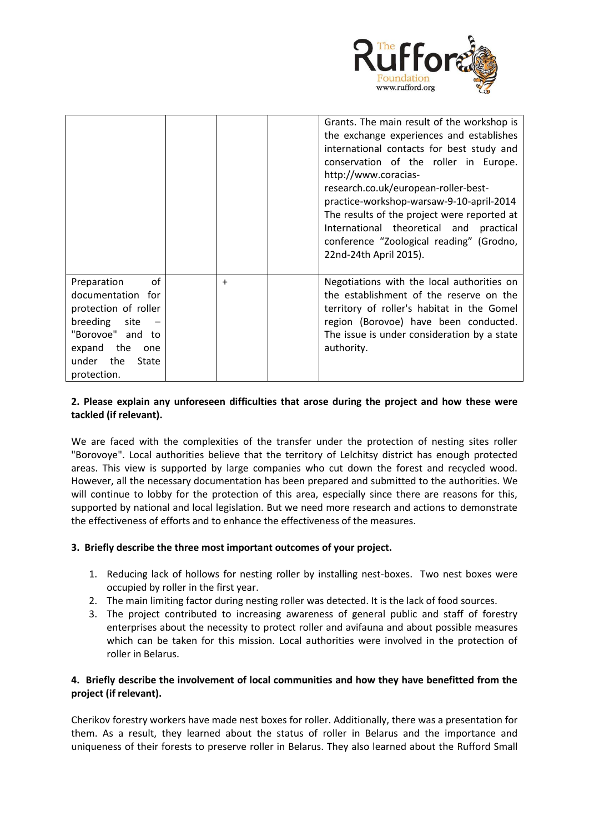

|                                                                                                                                                                     |           | Grants. The main result of the workshop is<br>the exchange experiences and establishes<br>international contacts for best study and<br>conservation of the roller in Europe.<br>http://www.coracias-<br>research.co.uk/european-roller-best-<br>practice-workshop-warsaw-9-10-april-2014<br>The results of the project were reported at<br>International theoretical and<br>practical<br>conference "Zoological reading" (Grodno,<br>22nd-24th April 2015). |
|---------------------------------------------------------------------------------------------------------------------------------------------------------------------|-----------|-------------------------------------------------------------------------------------------------------------------------------------------------------------------------------------------------------------------------------------------------------------------------------------------------------------------------------------------------------------------------------------------------------------------------------------------------------------|
| of<br>Preparation<br>documentation for<br>protection of roller<br>breeding<br>site<br>"Borovoe" and to<br>expand the<br>one<br>the<br>under<br>State<br>protection. | $\ddot{}$ | Negotiations with the local authorities on<br>the establishment of the reserve on the<br>territory of roller's habitat in the Gomel<br>region (Borovoe) have been conducted.<br>The issue is under consideration by a state<br>authority.                                                                                                                                                                                                                   |

#### **2. Please explain any unforeseen difficulties that arose during the project and how these were tackled (if relevant).**

We are faced with the complexities of the transfer under the protection of nesting sites roller "Borovoye". Local authorities believe that the territory of Lelchitsy district has enough protected areas. This view is supported by large companies who cut down the forest and recycled wood. However, all the necessary documentation has been prepared and submitted to the authorities. We will continue to lobby for the protection of this area, especially since there are reasons for this, supported by national and local legislation. But we need more research and actions to demonstrate the effectiveness of efforts and to enhance the effectiveness of the measures.

#### **3. Briefly describe the three most important outcomes of your project.**

- 1. Reducing lack of hollows for nesting roller by installing nest-boxes. Two nest boxes were occupied by roller in the first year.
- 2. The main limiting factor during nesting roller was detected. It is the lack of food sources.
- 3. The project contributed to increasing awareness of general public and staff of forestry enterprises about the necessity to protect roller and avifauna and about possible measures which can be taken for this mission. Local authorities were involved in the protection of roller in Belarus.

#### **4. Briefly describe the involvement of local communities and how they have benefitted from the project (if relevant).**

Cherikov forestry workers have made nest boxes for roller. Additionally, there was a presentation for them. As a result, they learned about the status of roller in Belarus and the importance and uniqueness of their forests to preserve roller in Belarus. They also learned about the Rufford Small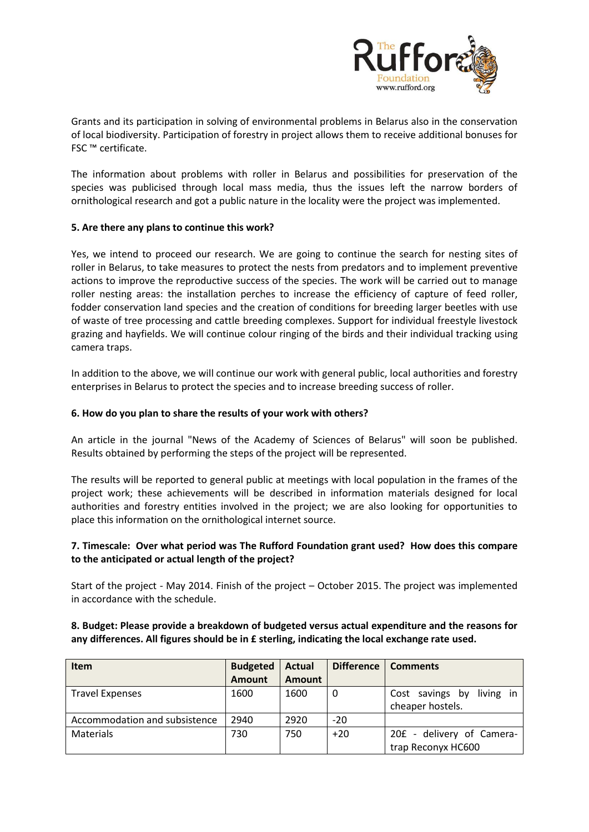

Grants and its participation in solving of environmental problems in Belarus also in the conservation of local biodiversity. Participation of forestry in project allows them to receive additional bonuses for FSC ™ certificate.

The information about problems with roller in Belarus and possibilities for preservation of the species was publicised through local mass media, thus the issues left the narrow borders of ornithological research and got a public nature in the locality were the project was implemented.

#### **5. Are there any plans to continue this work?**

Yes, we intend to proceed our research. We are going to continue the search for nesting sites of roller in Belarus, to take measures to protect the nests from predators and to implement preventive actions to improve the reproductive success of the species. The work will be carried out to manage roller nesting areas: the installation perches to increase the efficiency of capture of feed roller, fodder conservation land species and the creation of conditions for breeding larger beetles with use of waste of tree processing and cattle breeding complexes. Support for individual freestyle livestock grazing and hayfields. We will continue colour ringing of the birds and their individual tracking using camera traps.

In addition to the above, we will continue our work with general public, local authorities and forestry enterprises in Belarus to protect the species and to increase breeding success of roller.

#### **6. How do you plan to share the results of your work with others?**

An article in the journal "News of the Academy of Sciences of Belarus" will soon be published. Results obtained by performing the steps of the project will be represented.

The results will be reported to general public at meetings with local population in the frames of the project work; these achievements will be described in information materials designed for local authorities and forestry entities involved in the project; we are also looking for opportunities to place this information on the ornithological internet source.

#### **7. Timescale: Over what period was The Rufford Foundation grant used? How does this compare to the anticipated or actual length of the project?**

Start of the project - May 2014. Finish of the project – October 2015. The project was implemented in accordance with the schedule.

#### **8. Budget: Please provide a breakdown of budgeted versus actual expenditure and the reasons for any differences. All figures should be in £ sterling, indicating the local exchange rate used.**

| <b>Item</b>                   | <b>Budgeted</b> | <b>Actual</b> | Difference | <b>Comments</b>                 |
|-------------------------------|-----------------|---------------|------------|---------------------------------|
|                               | <b>Amount</b>   | Amount        |            |                                 |
| <b>Travel Expenses</b>        | 1600            | 1600          | 0          | Cost savings<br>living in<br>bv |
|                               |                 |               |            | cheaper hostels.                |
| Accommodation and subsistence | 2940            | 2920          | $-20$      |                                 |
| Materials                     | 730             | 750           | $+20$      | 20£ - delivery of Camera-       |
|                               |                 |               |            | trap Reconyx HC600              |